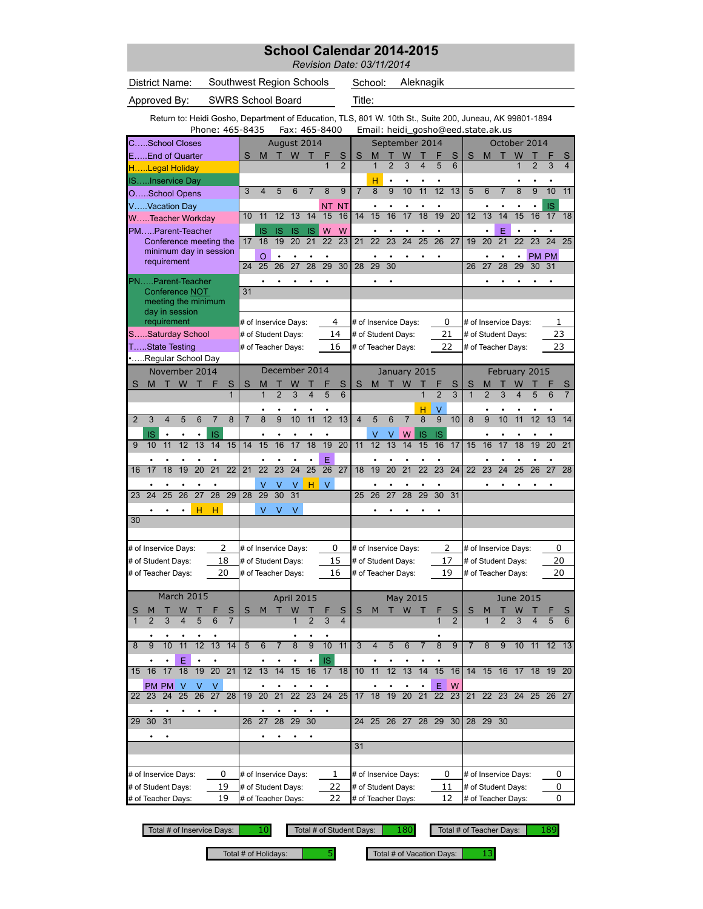|                |                |                                                                                                         |           |                      |                 |                         |                          |                                          |                 |                 |                 |                 |                     | School Calendar 2014-2015<br>Revision Date: 03/11/2014 |                   |                |                                          |                         |                 |                     |                                    |                     |                |                                          |                |                 |                |
|----------------|----------------|---------------------------------------------------------------------------------------------------------|-----------|----------------------|-----------------|-------------------------|--------------------------|------------------------------------------|-----------------|-----------------|-----------------|-----------------|---------------------|--------------------------------------------------------|-------------------|----------------|------------------------------------------|-------------------------|-----------------|---------------------|------------------------------------|---------------------|----------------|------------------------------------------|----------------|-----------------|----------------|
|                |                | District Name:                                                                                          |           |                      |                 |                         | Southwest Region Schools |                                          |                 |                 |                 |                 |                     |                                                        | School:           |                | Aleknagik                                |                         |                 |                     |                                    |                     |                |                                          |                |                 |                |
|                |                | Approved By:                                                                                            |           |                      |                 |                         | <b>SWRS School Board</b> |                                          |                 |                 |                 |                 |                     | Title:                                                 |                   |                |                                          |                         |                 |                     |                                    |                     |                |                                          |                |                 |                |
|                |                | Return to: Heidi Gosho, Department of Education, TLS, 801 W. 10th St., Suite 200, Juneau, AK 99801-1894 |           |                      | Phone: 465-8435 |                         |                          |                                          |                 |                 |                 | Fax: 465-8400   |                     |                                                        |                   |                |                                          |                         |                 |                     | Email: heidi_gosho@eed.state.ak.us |                     |                |                                          |                |                 |                |
|                |                | CSchool Closes                                                                                          |           |                      |                 |                         |                          |                                          | August 2014     |                 |                 |                 |                     |                                                        |                   |                | September 2014                           |                         |                 |                     |                                    |                     |                | October 2014                             |                |                 |                |
|                |                | EEnd of Quarter                                                                                         |           |                      |                 |                         | S                        | M                                        |                 | W               |                 | 1               | S<br>$\overline{2}$ | S                                                      | M<br>$\mathbf{1}$ | $\overline{2}$ | 3                                        | $\overline{\mathbf{4}}$ | 5               | S<br>6              | S                                  | M                   |                | W<br>$\overline{1}$                      | $\overline{2}$ | 3               | S              |
|                |                | HLegal Holiday<br>ISInservice Day                                                                       |           |                      |                 |                         |                          |                                          |                 |                 |                 |                 |                     |                                                        | н                 |                |                                          |                         |                 |                     |                                    |                     |                |                                          |                |                 |                |
|                |                | OSchool Opens                                                                                           |           |                      |                 |                         | 3                        | $\overline{\mathbf{4}}$                  | 5               | 6               | $\overline{7}$  | 8               | 9                   | $\overline{7}$                                         | 8                 | 9              | 10                                       | 11                      | 12              | 13                  | 5                                  | 6                   | $\overline{7}$ | 8                                        | 9              | 10              | 11             |
|                |                | VVacation Day                                                                                           |           |                      |                 |                         | 10                       | 11                                       | 12              | 13              | 14              | ΝT<br>15        | NΤ<br>16            | 14                                                     | 15                | 16             | 17                                       | 18                      | 19              | $\overline{20}$     | 12                                 | 13                  | 14             | 15                                       | 16             | IS<br>17        | 18             |
|                |                | WTeacher Workday<br>PMParent-Teacher                                                                    |           |                      |                 |                         |                          | IS                                       | IS              | <b>IS</b>       | IS              | W               | W                   |                                                        |                   |                |                                          |                         |                 |                     |                                    |                     | E              |                                          |                |                 |                |
|                |                | Conference meeting the                                                                                  |           |                      |                 |                         | 17                       | 18                                       | 19              | $\overline{20}$ | 21              | 22              | 23                  | 21                                                     | 22                | 23             | 24                                       | 25                      | 26              | 27                  | 19                                 | 20                  | 21             | 22                                       | 23             | 24              | 25             |
|                |                | minimum day in session<br>requirement                                                                   |           |                      |                 |                         | 24                       | $\circ$<br>25                            | $\bullet$<br>26 | 27              | $\bullet$<br>28 | ٠<br>29         | $\overline{30}$     | 28                                                     | 29                | 30             |                                          |                         |                 |                     | 26                                 | 27                  | 28             | 29                                       | PM PM<br>30    | 31              |                |
|                |                | PNParent-Teacher                                                                                        |           |                      |                 |                         |                          | $\bullet$                                |                 |                 |                 | ٠               |                     |                                                        |                   |                |                                          |                         |                 |                     |                                    |                     |                |                                          |                | ٠               |                |
|                |                | Conference NOT                                                                                          |           |                      |                 |                         | 31                       |                                          |                 |                 |                 |                 |                     |                                                        |                   |                |                                          |                         |                 |                     |                                    |                     |                |                                          |                |                 |                |
|                |                | meeting the minimum<br>day in session                                                                   |           |                      |                 |                         |                          |                                          |                 |                 |                 |                 |                     |                                                        |                   |                |                                          |                         |                 |                     |                                    |                     |                |                                          |                |                 |                |
|                |                | requirement                                                                                             |           |                      |                 |                         |                          | # of Inservice Days:                     |                 |                 |                 |                 | 4                   |                                                        |                   |                | # of Inservice Days:                     |                         |                 | 0                   |                                    |                     |                | # of Inservice Days:                     |                | 1               |                |
|                |                | SSaturday School<br>TState Testing                                                                      |           |                      |                 |                         |                          | # of Student Days:<br># of Teacher Days: |                 |                 |                 |                 | 14<br>16            |                                                        |                   |                | # of Student Days:<br># of Teacher Days: |                         |                 | 21<br>22            |                                    |                     |                | # of Student Days:<br># of Teacher Days: |                | 23<br>23        |                |
|                |                | Regular School Day                                                                                      |           |                      |                 |                         |                          |                                          |                 |                 |                 |                 |                     |                                                        |                   |                |                                          |                         |                 |                     |                                    |                     |                |                                          |                |                 |                |
|                |                | November 2014                                                                                           |           |                      |                 |                         |                          |                                          | December 2014   |                 |                 |                 |                     |                                                        |                   |                | January 2015                             |                         |                 |                     |                                    |                     |                | February 2015                            |                |                 |                |
| S              | M              | т                                                                                                       | W         | т                    | F               | S<br>$\mathbf{1}$       | S                        | M<br>1                                   | $\overline{2}$  | 3               | 4               | 5               | S<br>6              | S                                                      | M                 |                | W                                        | $\overline{1}$          | $\overline{2}$  | S<br>$\overline{3}$ | S<br>$\overline{1}$                | M<br>$\overline{2}$ | 3              | 4                                        |                |                 |                |
|                |                |                                                                                                         |           |                      |                 |                         |                          |                                          |                 |                 |                 |                 |                     |                                                        |                   |                |                                          | н                       | V               |                     |                                    |                     |                |                                          |                |                 |                |
| $\overline{2}$ | 3              | 4                                                                                                       | 5         | $\overline{6}$       | 7               | $\overline{8}$          | $\overline{7}$           | $\overline{8}$                           | $\overline{9}$  | 10              | 11              | 12              | 13                  | $\overline{4}$                                         | 5                 | $\overline{6}$ | $\overline{7}$                           | $\overline{8}$          | $\overline{9}$  | 10                  | $\overline{8}$                     | $\overline{9}$      | 10             | 11                                       | 12             | 13              | 14             |
|                | IS             |                                                                                                         |           |                      |                 |                         |                          | $\bullet$                                |                 |                 | $\bullet$       | $\bullet$       |                     |                                                        |                   |                |                                          |                         |                 |                     |                                    |                     |                |                                          |                |                 |                |
| 9              |                | $\bullet$                                                                                               | $\bullet$ |                      | IS              |                         |                          |                                          |                 |                 |                 |                 |                     |                                                        | V                 | V              | W                                        | IS                      | <b>IS</b>       |                     |                                    |                     |                |                                          |                |                 |                |
|                | 10             | 11                                                                                                      | 12        | 13                   | 14              | 15                      | 14                       | 15                                       | 16              | 17              | 18              | 19              | 20                  | 11                                                     | 12                | 13             | 14                                       | 15                      | 16              | 17                  | 15                                 | 16                  | 17             | 18                                       | 19             | $\overline{20}$ | 21             |
| 16             | 17             | 18                                                                                                      | 19        | 20                   | $\overline{21}$ | $\overline{22}$         | 21                       | $\overline{22}$                          | $\overline{23}$ | $\overline{24}$ | $\overline{25}$ | E<br>26         | 27                  | 18                                                     | 19                | 20             | 21                                       | $\overline{22}$         | $\overline{23}$ | 24                  | 22                                 | 23                  | 24             | 25                                       | 26             | 27              | 28             |
|                |                |                                                                                                         |           |                      |                 |                         |                          |                                          |                 |                 | H               | V               |                     |                                                        |                   |                |                                          |                         |                 |                     |                                    |                     |                |                                          |                |                 |                |
| 23             | 24             | 25                                                                                                      | 26        | 27                   | $\overline{28}$ | 29                      | 28                       | 29                                       | 30              | 31              |                 |                 |                     | 25                                                     | 26                | 27             | 28                                       | 29                      | 30              | 31                  |                                    |                     |                |                                          |                |                 |                |
|                |                |                                                                                                         |           | н                    | H               |                         |                          | V                                        | V               | V               |                 |                 |                     |                                                        |                   |                |                                          |                         |                 |                     |                                    |                     |                |                                          |                |                 |                |
| 30             |                |                                                                                                         |           |                      |                 |                         |                          |                                          |                 |                 |                 |                 |                     |                                                        |                   |                |                                          |                         |                 |                     |                                    |                     |                |                                          |                |                 |                |
|                |                | # of Inservice Days:                                                                                    |           |                      |                 | 2                       |                          | # of Inservice Days:                     |                 |                 |                 |                 | 0                   |                                                        |                   |                | # of Inservice Days:                     |                         |                 | 2                   |                                    |                     |                | # of Inservice Days:                     |                | 0               |                |
|                |                | # of Student Days:                                                                                      |           |                      | 18              |                         |                          | # of Student Days:                       |                 |                 |                 |                 | 15                  |                                                        |                   |                | # of Student Days:                       |                         |                 | 17                  |                                    |                     |                | # of Student Days:                       |                | 20              |                |
|                |                | # of Teacher Days:                                                                                      |           |                      | 20              |                         |                          | # of Teacher Days:                       |                 |                 |                 |                 | 16                  |                                                        |                   |                | # of Teacher Days:                       |                         |                 | 19                  |                                    |                     |                | # of Teacher Days:                       |                | 20              |                |
|                |                | March 2015                                                                                              |           |                      |                 |                         |                          |                                          |                 | April 2015      |                 |                 |                     |                                                        |                   |                | May 2015                                 |                         |                 |                     |                                    |                     |                | <b>June 2015</b>                         |                |                 |                |
| S              | M              | Т                                                                                                       | W         |                      |                 | $\overline{\mathsf{S}}$ | S                        | М                                        | т               | W               |                 | ۲               | S                   | S                                                      | M                 |                | T W                                      | т                       | ۴               | S                   | S                                  | M                   | Τ              | W                                        |                |                 | $\mathsf{S}$   |
| $\mathbf{1}$   | $\overline{2}$ | 3                                                                                                       |           | 5                    | 6               | $\overline{7}$          |                          |                                          |                 |                 | $\overline{2}$  | 3               | $\overline{4}$      |                                                        |                   |                |                                          |                         | 1               | $\overline{2}$      |                                    |                     | $\overline{2}$ | 3                                        | 4              |                 | $\overline{6}$ |
| 8              | $\overline{9}$ | 10                                                                                                      | 11        | $\overline{12}$      | $\overline{13}$ | 14                      | 5                        | 6                                        | $\overline{7}$  | $\overline{8}$  | $\overline{9}$  | 10              | 11                  | 3                                                      | 4                 | 5              | 6                                        | $\overline{7}$          | $\overline{8}$  | 9                   | 7                                  | 8                   | 9              | $10$ 11                                  |                | $12 \t13$       |                |
|                |                |                                                                                                         | Ε         |                      |                 |                         |                          |                                          |                 |                 | ٠               | IS              |                     |                                                        |                   |                |                                          |                         |                 |                     |                                    |                     |                |                                          |                |                 |                |
| 15             | 16             | 17                                                                                                      | 18        | 19                   | $\overline{20}$ | $\overline{21}$         | 12                       | 13                                       | 14              | 15              | 16              | 17              | 18                  | 10                                                     | 11                | 12             | 13                                       | 14                      | 15              | 16                  | 14                                 | 15                  | 16 17          |                                          |                | 18 19 20        |                |
| 22             | 23             | PM PM<br>$\overline{24}$                                                                                | - V<br>25 | V<br>$\overline{26}$ | V<br>27         | 28                      | 19                       |                                          |                 |                 | 23              | $\overline{24}$ | 25                  | 17                                                     | 18                | 19             | 20                                       |                         | Ε<br>22         | W<br>23             | 21                                 | 22                  |                | 24                                       |                | 25 26 27        |                |
|                |                |                                                                                                         |           |                      |                 |                         |                          | 20                                       | 21              | $\overline{22}$ |                 |                 |                     |                                                        |                   |                |                                          | 21                      |                 |                     |                                    |                     | 23             |                                          |                |                 |                |
| 29             | 30             | 31                                                                                                      |           |                      |                 |                         |                          | 26 27                                    | 28              | 29              | 30              |                 |                     | 24                                                     |                   |                | 25 26 27 28 29                           |                         |                 | 30                  |                                    | 28 29               | 30             |                                          |                |                 |                |
|                | ٠              | $\bullet$                                                                                               |           |                      |                 |                         |                          |                                          |                 |                 |                 |                 |                     | 31                                                     |                   |                |                                          |                         |                 |                     |                                    |                     |                |                                          |                |                 |                |

# of Inservice Days:  $\begin{array}{c|c} 0 & \text{# of Inservice Days:} \end{array}$   $\begin{array}{c|c} 1 & \text{# of Inservice Days:} \end{array}$   $\begin{array}{c|c} 0 & \text{# of Inservice Days:} \end{array}$ # of Student Days:  $\begin{array}{r} 19 \\ +46 \text{ (Fracher } \text{Bayes}) \end{array}$  + of Student Days:  $\begin{array}{r} 11 \\ +46 \text{ (Fracher } \text{Bayes}) \end{array}$  + of Teacher Days:  $\begin{array}{r} 11 \\ +46 \text{ (Fracher } \text{Bayes}) \end{array}$  + of Teacher Days: # of Teacher Days: 19 |# of Teacher Days: 22 |# of Teacher Days: 12 |# of Teacher Days: # of Student Days:  $\overline{0}$ 19 22  $\overline{0}$ 0  $\overline{0}$ # of Inservice Days:

Total # of Inservice Days: 10 Total # of Student Days: 180 Total # of Teacher Days: 189

Total # of Holidays:  $\begin{array}{|c|c|c|c|}\n\hline\n5 & 5\n\end{array}$  Total # of Vacation Days: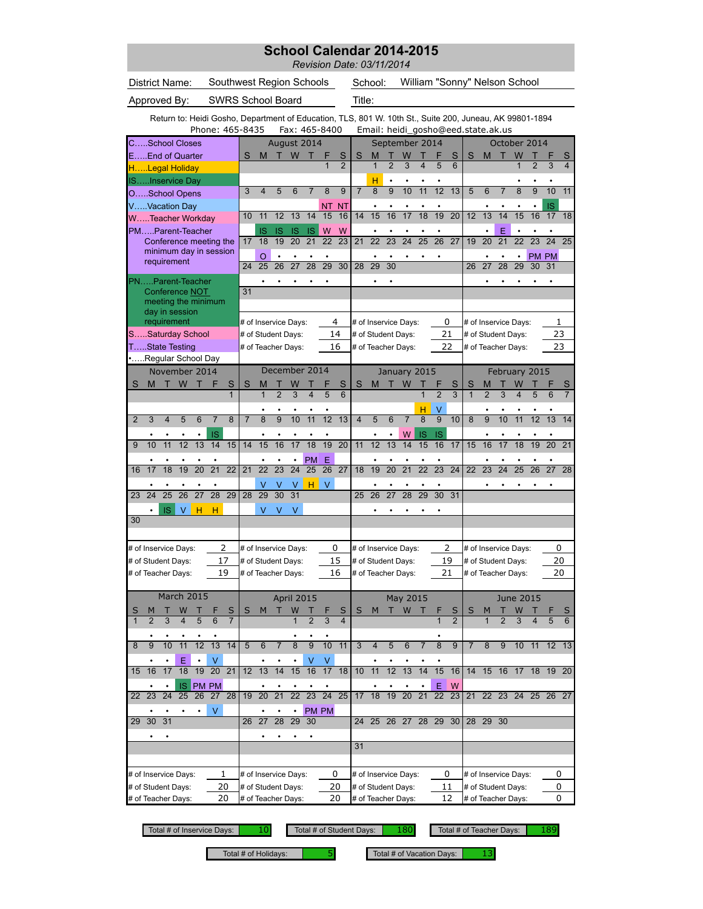|                                       |                                                                                                         |                 |    |                          |                |                |                 |                      |                              |           |                     | Revision Date: 03/11/2014 |                 |                 | School Calendar 2014-2015          |                         |                 |                     |                |                |                               |                  |                |           |             |
|---------------------------------------|---------------------------------------------------------------------------------------------------------|-----------------|----|--------------------------|----------------|----------------|-----------------|----------------------|------------------------------|-----------|---------------------|---------------------------|-----------------|-----------------|------------------------------------|-------------------------|-----------------|---------------------|----------------|----------------|-------------------------------|------------------|----------------|-----------|-------------|
| District Name:                        |                                                                                                         |                 |    | Southwest Region Schools |                |                |                 |                      |                              |           |                     |                           | School:         |                 |                                    |                         |                 |                     |                |                | William "Sonny" Nelson School |                  |                |           |             |
| Approved By:                          |                                                                                                         |                 |    | <b>SWRS School Board</b> |                |                |                 |                      |                              |           |                     | Title:                    |                 |                 |                                    |                         |                 |                     |                |                |                               |                  |                |           |             |
|                                       | Return to: Heidi Gosho, Department of Education, TLS, 801 W. 10th St., Suite 200, Juneau, AK 99801-1894 |                 |    | Phone: 465-8435          |                |                |                 |                      | Fax: 465-8400                |           |                     |                           |                 |                 | Email: heidi_gosho@eed.state.ak.us |                         |                 |                     |                |                |                               |                  |                |           |             |
| CSchool Closes                        |                                                                                                         |                 |    |                          |                |                |                 |                      | August 2014                  |           |                     |                           |                 |                 | September 2014                     |                         |                 |                     |                |                | October 2014                  |                  |                |           |             |
| EEnd of Quarter                       |                                                                                                         |                 |    |                          | S              | M              |                 | W                    |                              | F         | S                   | S                         | М               |                 |                                    |                         |                 | S                   | S              | M              | П                             | W                |                |           | S           |
| HLegal Holiday                        |                                                                                                         |                 |    |                          |                |                |                 |                      |                              |           | $\overline{2}$      |                           | $\mathbf{1}$    | $\overline{2}$  | 3                                  | $\overline{\mathbf{4}}$ | 5               | 6                   |                |                |                               | 1                | $\overline{2}$ | 3         | 4           |
| ISInservice Day                       |                                                                                                         |                 |    |                          |                |                |                 |                      |                              |           |                     |                           | н               | $\bullet$       |                                    |                         |                 |                     |                |                |                               |                  |                |           |             |
| OSchool Opens                         |                                                                                                         |                 |    |                          | 3              | $\overline{4}$ | 5               | 6                    | 7                            | 8         | 9                   | $\overline{7}$            | 8               | $\overline{9}$  | 10                                 | 11                      | $\overline{12}$ | 13                  | 5              | 6              | $\overline{7}$                | 8                | 9              | 10        | 11          |
| VVacation Day                         |                                                                                                         |                 |    |                          | 10             | 11             | 12              | 13                   | 14                           | ΝT<br>15  | ΝT<br>16            | 14                        | ٠<br>15         | 16              | 17                                 | 18                      | 19              | $\overline{20}$     | 12             | 13             | 14                            | 15               | ٠<br>16        | IS<br>17  | 18          |
| WTeacher Workday<br>PMParent-Teacher  |                                                                                                         |                 |    |                          |                |                |                 |                      |                              |           |                     |                           |                 |                 |                                    |                         |                 |                     |                | $\bullet$      |                               |                  |                |           |             |
| Conference meeting the                |                                                                                                         |                 |    |                          | 17             | IS<br>18       | IS<br>19        | 1S<br>20             | IS<br>21                     | W<br>22   | W<br>23             | 21                        | 22              | 23              | 24                                 | 25                      | 26              | 27                  | 19             | 20             | Е<br>21                       | 22               | 23             | 24        | 25          |
| minimum day in session                |                                                                                                         |                 |    |                          |                | $\circ$        |                 |                      |                              |           |                     |                           |                 |                 |                                    |                         |                 |                     |                |                |                               |                  |                | PM PM     |             |
| requirement                           |                                                                                                         |                 |    |                          | 24             | 25             | 26              | 27                   | 28                           | 29        | $\overline{30}$     | 28                        | 29              | 30              |                                    |                         |                 |                     | 26             | 27             | 28                            | 29               | 30             | 31        |             |
| PNParent-Teacher                      |                                                                                                         |                 |    |                          |                |                |                 |                      |                              |           |                     |                           | ٠               |                 |                                    |                         |                 |                     |                |                |                               |                  |                |           |             |
| Conference NOT                        |                                                                                                         |                 |    |                          | 31             |                |                 |                      |                              |           |                     |                           |                 |                 |                                    |                         |                 |                     |                |                |                               |                  |                |           |             |
| meeting the minimum<br>day in session |                                                                                                         |                 |    |                          |                |                |                 |                      |                              |           |                     |                           |                 |                 |                                    |                         |                 |                     |                |                |                               |                  |                |           |             |
| requirement                           |                                                                                                         |                 |    |                          |                |                |                 | # of Inservice Days: |                              |           | 4                   |                           |                 |                 | # of Inservice Days:               |                         |                 | 0                   |                |                | # of Inservice Days:          |                  |                |           | 1           |
| SSaturday School                      |                                                                                                         |                 |    |                          |                |                |                 | # of Student Days:   |                              |           | 14                  |                           |                 |                 | # of Student Days:                 |                         |                 | 21                  |                |                | # of Student Days:            |                  |                |           | 23          |
| TState Testing                        |                                                                                                         |                 |    |                          |                |                |                 | # of Teacher Days:   |                              |           | 16                  |                           |                 |                 | # of Teacher Days:                 |                         |                 | 22                  |                |                | # of Teacher Days:            |                  |                |           | 23          |
| •Regular School Day                   | November 2014                                                                                           |                 |    |                          |                |                |                 |                      | December 2014                |           |                     |                           |                 |                 | January 2015                       |                         |                 |                     |                |                | February 2015                 |                  |                |           |             |
| S<br>M                                | W<br>т                                                                                                  | т               | F  | S                        | S              | М              |                 |                      |                              |           | S                   | S                         | M               | т               | W                                  |                         |                 | S                   | S              | М              |                               | W                |                |           |             |
|                                       |                                                                                                         |                 |    | 1                        |                | 1              | $\overline{2}$  | 3                    | 4                            | 5         | 6                   |                           |                 |                 |                                    | 1                       | $\overline{2}$  | $\overline{3}$      | $\mathbf{1}$   | $\overline{2}$ | 3                             | 4                | 5              | 6         |             |
|                                       |                                                                                                         |                 |    |                          |                |                |                 |                      |                              |           |                     |                           |                 |                 |                                    | н                       | V               |                     |                |                |                               |                  |                |           |             |
| $\overline{2}$<br>3                   | $\overline{4}$<br>5                                                                                     | 6               | 7  | 8                        | $\overline{7}$ | 8              | 9               | 10                   | 11                           | 12        | 13                  | $\overline{4}$            | 5               | 6               | $\overline{7}$                     | 8                       | 9               | 10                  | 8              | 9              | 10                            | 11               | 12             | 13        | 14          |
|                                       | ٠                                                                                                       | $\bullet$       | IS |                          |                |                | $\bullet$       | $\bullet$            |                              | $\bullet$ |                     |                           | $\bullet$       | $\bullet$       | W                                  | IS                      | IS              |                     |                | $\bullet$      |                               |                  | $\bullet$      | $\bullet$ |             |
| 9<br>10                               | 12<br>11                                                                                                | 13              | 14 | 15                       | 14             | 15             | 16              | 17                   | 18                           | 19        | 20                  | 11                        | 12              | $\overline{13}$ | 14                                 | 15                      | 16              | 17                  | 15             | 16             | 17                            | 18               | 19             | 20        | 21          |
| 17<br>16                              | 18<br>19                                                                                                | $\overline{20}$ | 21 | 22                       | 21             | ٠<br>22        | $\overline{23}$ | ٠<br>$\overline{24}$ | <b>PM</b><br>$\overline{25}$ | Ε<br>26   | $\overline{27}$     | 18                        | $\bullet$<br>19 | 20              | 21                                 | ٠<br>$\overline{22}$    | $\overline{23}$ | 24                  | 22             | ٠<br>23        | 24                            | 25               | 26             | ٠<br>27   | 28          |
|                                       |                                                                                                         |                 |    |                          |                |                |                 |                      |                              |           |                     |                           |                 |                 |                                    |                         |                 |                     |                |                |                               |                  |                |           |             |
| 23 24 25 26 27 28 29                  |                                                                                                         |                 |    |                          | 28             | V<br>29        | V               | v<br>30 31           | н                            | V         |                     |                           |                 |                 |                                    |                         |                 |                     |                |                |                               |                  |                |           |             |
|                                       | IS.<br>V                                                                                                | н               | н  |                          |                | V              | V               | V                    |                              |           |                     |                           |                 |                 |                                    |                         |                 |                     |                |                |                               |                  |                |           |             |
| 30                                    |                                                                                                         |                 |    |                          |                |                |                 |                      |                              |           |                     |                           |                 |                 |                                    |                         |                 |                     |                |                |                               |                  |                |           |             |
|                                       |                                                                                                         |                 |    |                          |                |                |                 |                      |                              |           |                     |                           |                 |                 |                                    |                         |                 |                     |                |                |                               |                  |                |           |             |
| # of Inservice Days:                  |                                                                                                         |                 |    | 2                        |                |                |                 | # of Inservice Days: |                              |           | 0                   |                           |                 |                 | # of Inservice Days:               |                         |                 | 2                   |                |                | # of Inservice Days:          |                  |                |           | 0           |
| # of Student Days:                    |                                                                                                         |                 |    | 17                       |                |                |                 | # of Student Days:   |                              |           | 15                  |                           |                 |                 | # of Student Days:                 |                         |                 | 19                  |                |                | # of Student Days:            |                  |                |           | 20          |
| # of Teacher Days:                    |                                                                                                         |                 |    | 19                       |                |                |                 | # of Teacher Days:   |                              |           | 16                  |                           |                 |                 | # of Teacher Days:                 |                         |                 | 21                  |                |                | # of Teacher Days:            |                  |                |           | 20          |
|                                       |                                                                                                         |                 |    |                          |                |                |                 |                      |                              |           |                     |                           |                 |                 |                                    |                         |                 |                     |                |                |                               |                  |                |           |             |
|                                       | March 2015                                                                                              |                 |    |                          |                |                |                 | April 2015           |                              |           |                     |                           |                 |                 | May 2015                           |                         |                 |                     |                |                |                               | <b>June 2015</b> |                |           |             |
| S                                     | W                                                                                                       | т.              |    | S<br>$\overline{7}$      | S              | M              | т               | W                    |                              |           | S<br>$\overline{4}$ | S                         | M               |                 | T W                                | $\top$                  | ۲               | S<br>$\overline{2}$ | S              | M              | т                             | W                |                |           | S           |
|                                       |                                                                                                         |                 |    |                          |                |                |                 |                      |                              |           |                     |                           |                 |                 |                                    |                         |                 |                     |                |                |                               |                  |                |           |             |
|                                       |                                                                                                         |                 |    |                          |                |                |                 |                      |                              |           |                     |                           |                 |                 |                                    |                         |                 |                     |                |                |                               |                  |                |           |             |
| 8<br>9                                | 11<br>10                                                                                                | 12              | 13 | 14                       | 5              | $6\phantom{1}$ | $\overline{7}$  | $\overline{8}$       | $\overline{9}$               | 10        | $-11$               | $\overline{3}$            | $\overline{4}$  | 5               | 6                                  | $\overline{7}$          | $\overline{8}$  | 9                   | $\overline{7}$ | 8              | 9                             |                  |                |           |             |
|                                       | Ε                                                                                                       |                 |    |                          |                |                |                 |                      |                              |           |                     |                           |                 |                 |                                    |                         |                 |                     |                |                |                               |                  |                |           | 10 11 12 13 |

10 11 12 13 17 18 19 20 • • IS PM PM • • • • • • • • • E W 22 23 24 25 26 27 28 19 20 21 22 23 24 25 17 18 19 20 21 22 23 21 22 23 24 25 26 27  $\begin{array}{c|c|c|c|c|c|c|c|c} \hline \cdots & \cdots & \cdots & \cdots & \cdots & \cdots & \cdots \ \hline \end{array}$  29 30 31  $\begin{array}{c|c|c|c|c} \hline \cdots & \cdots & \cdots & \cdots & \cdots \ \hline \end{array}$  26 27 28 29 30 24 25 26 27 28 29 30 28 29 30 • • • • • • 36 37 38 39 40 41 42 33 34 35 36 37 38 39 31 32 33 34 35 36 37 35 36 37 38 39 40 41 # of Inservice Days:  $\begin{array}{c|c} 1 & \text{# of Inservice Days:} \end{array}$   $\begin{array}{c|c} 0 & \text{# of Inservice Days:} \end{array}$  # of Inservice Days: # of Student Days:  $\begin{array}{r|l} 20 & \text{\# of Student Days:} & \text{20} & \text{\# of Student Days:} & \text{11} & \text{\# of Student Days:} \end{array}$ # of Teacher Days: 20 # of Teacher Days: 20 |# of Teacher Days: 12 |# of Teacher Days: # of Student Days: 1 20 20 0 0  $\overline{0}$ # of Inservice Days:

Total # of Inservice Days: 10 Total # of Student Days: 180

Total # of Teacher Days: | 189

Total # of Holidays:  $\begin{array}{|c|c|} \hline \quad & 5 \end{array}$  Total # of Vacation Days: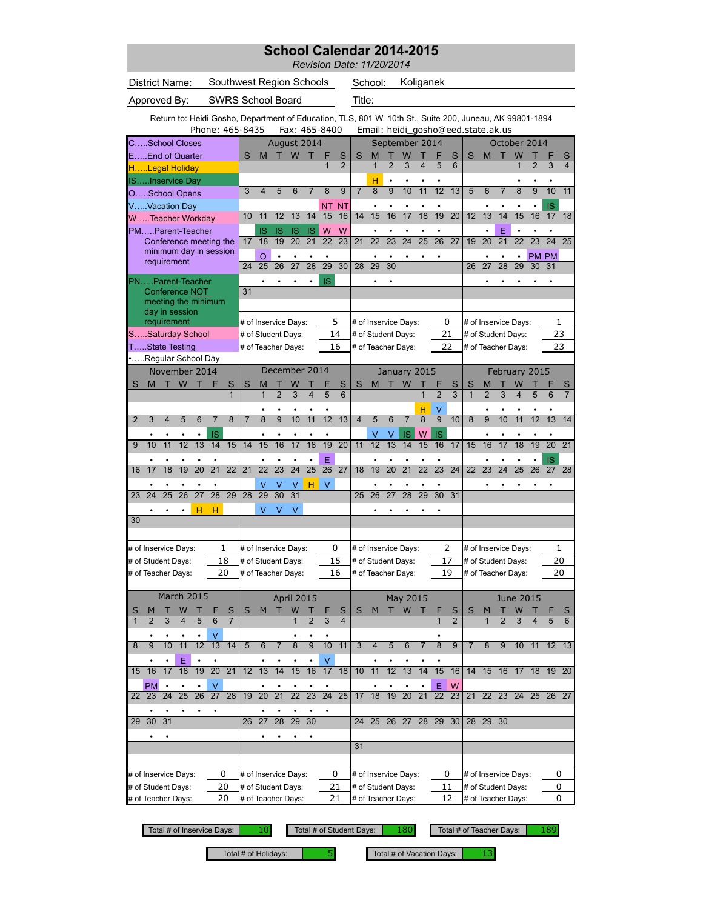|                                                                               |                                                                                                         | School Calendar 2014-2015<br>Revision Date: 11/20/2014                                                                                                                           |
|-------------------------------------------------------------------------------|---------------------------------------------------------------------------------------------------------|----------------------------------------------------------------------------------------------------------------------------------------------------------------------------------|
| District Name:                                                                | Southwest Region Schools                                                                                | School:<br>Koliganek                                                                                                                                                             |
| Approved By:                                                                  | <b>SWRS School Board</b>                                                                                | Title:                                                                                                                                                                           |
|                                                                               |                                                                                                         | Return to: Heidi Gosho, Department of Education, TLS, 801 W. 10th St., Suite 200, Juneau, AK 99801-1894                                                                          |
| Phone: 465-8435                                                               | Fax: 465-8400                                                                                           | Email: heidi_gosho@eed.state.ak.us                                                                                                                                               |
| CSchool Closes<br>EEnd of Quarter                                             | August 2014<br>W<br>S<br>M<br>F<br>S<br>п<br>т                                                          | September 2014<br>October 2014<br>S<br>M<br>W<br>S<br>S<br>M<br>т<br>W<br>т<br>S                                                                                                 |
| HLegal Holiday                                                                | $\overline{2}$<br>$\overline{1}$                                                                        | $\mathbf{1}$<br>$\overline{2}$<br>3<br>4<br>5<br>6<br>$\overline{1}$<br>$\overline{2}$<br>$\overline{\mathbf{4}}$<br>3                                                           |
| ISInservice Day<br>OSchool Opens                                              | 3<br>5<br>6<br>8<br>9<br>4<br>7                                                                         | н<br>$\overline{7}$<br>$\overline{8}$<br>$\overline{9}$<br>11<br>12<br>13<br>$\overline{8}$<br>11<br>10<br>5<br>6<br>9<br>10<br>$\overline{7}$                                   |
| VVacation Day                                                                 | ΝT<br>NT                                                                                                | IS                                                                                                                                                                               |
| WTeacher Workday                                                              | 13<br>15<br>16<br>10<br>11<br>12<br>14                                                                  | $\overline{20}$<br>14<br>15<br>16<br>18<br>19<br>12<br>13<br>14<br>15<br>16<br>17<br>18<br>17                                                                                    |
| PMParent-Teacher<br>Conference meeting the                                    | IS<br>W<br>W<br>IS<br>IS<br>IS<br>19<br>20<br>21<br>22<br>23<br>17<br>18                                | E<br>$\bullet$<br>$\bullet$<br>$\bullet$<br>$\bullet$<br>$\bullet$<br>$\bullet$<br>$\bullet$<br>22<br>23<br>24<br>25<br>26<br>27<br>20<br>21<br>22<br>23<br>24<br>25<br>21<br>19 |
| minimum day in session<br>requirement                                         | O<br>$\bullet$<br>٠                                                                                     | PM PM<br>$\bullet$<br>$\bullet$<br>$\bullet$<br>٠                                                                                                                                |
|                                                                               | $\overline{29}$<br>24<br>25<br>26<br>27<br>28<br>30                                                     | 28<br>29<br>30<br>27<br>28<br>29<br>30<br>31<br>26                                                                                                                               |
| PNParent-Teacher<br>Conference NOT                                            | IS<br>31                                                                                                |                                                                                                                                                                                  |
| meeting the minimum<br>day in session                                         |                                                                                                         |                                                                                                                                                                                  |
| requirement                                                                   | 5<br># of Inservice Days:                                                                               | # of Inservice Days:<br>0<br># of Inservice Days:<br>1                                                                                                                           |
| SSaturday School<br>TState Testing                                            | 14<br># of Student Days:<br>16                                                                          | 23<br>21<br># of Student Days:<br># of Student Days:<br>22<br>23                                                                                                                 |
| Regular School Day                                                            | # of Teacher Days:                                                                                      | # of Teacher Days:<br># of Teacher Days:                                                                                                                                         |
| November 2014                                                                 | December 2014                                                                                           | January 2015<br>February 2015                                                                                                                                                    |
| W<br>S<br>S<br>M<br>т<br>$\mathbf{1}$                                         | S<br>S<br>M<br>$\overline{2}$<br>$\overline{3}$<br>5<br>1<br>4<br>6                                     | М<br>W<br>S<br>S<br>S<br>M<br>$\overline{2}$<br>$\overline{3}$<br>$\overline{1}$<br>$\overline{1}$<br>$\overline{2}$<br>$\overline{3}$<br>5<br>4                                 |
|                                                                               | ٠                                                                                                       | н<br>٧                                                                                                                                                                           |
| $\overline{2}$<br>3<br>6<br>8<br>4<br>5<br>7                                  | $\overline{8}$<br>$\overline{7}$<br>9<br>10<br>11<br>12<br>13                                           | $\overline{9}$<br>$\overline{4}$<br>5<br>6<br>8<br>9<br>10<br>8<br>10<br>11<br>12<br>13<br>$\overline{7}$<br>14                                                                  |
| IS<br>12<br>13<br>10<br>11<br>14<br>15<br>9                                   | $\bullet$<br>14<br>16<br>17<br>18<br>19<br>20<br>15                                                     | W<br><b>IS</b><br>V<br>IS<br>V<br>$\bullet$<br>12<br>13<br>14<br>16<br>17<br>18<br>19<br>20<br>11<br>15<br>17<br>15<br>16<br>21                                                  |
|                                                                               | E                                                                                                       | IS                                                                                                                                                                               |
| $\overline{20}$<br>$\overline{21}$<br>$\overline{22}$<br>17<br>18<br>16<br>19 | $\overline{22}$<br>$\overline{23}$<br>$\overline{24}$<br>$\overline{25}$<br>$\overline{27}$<br>21<br>26 | $\overline{20}$<br>$\overline{21}$<br>$\overline{22}$<br>$\overline{23}$<br>$\overline{24}$<br>23<br>18<br>19<br>22<br>24<br>25<br>26<br>27<br>28                                |
| 27<br>28<br>29<br>23<br>24<br>25<br>26                                        | $\vee$<br>v<br>v<br>H I<br>v<br>29<br>28<br>30<br>31                                                    | 27<br>28<br>29<br>30<br>31<br>25<br>26                                                                                                                                           |
| н<br>н                                                                        | ٧<br>V<br>٧                                                                                             |                                                                                                                                                                                  |
| 30                                                                            |                                                                                                         |                                                                                                                                                                                  |
| # of Inservice Days:<br>1                                                     | 0<br># of Inservice Days:                                                                               | 2<br>1<br># of Inservice Days:<br># of Inservice Days:                                                                                                                           |
| 18<br># of Student Days:                                                      | 15<br># of Student Days:                                                                                | 17<br>20<br># of Student Days:<br># of Student Days:                                                                                                                             |
| 20<br># of Teacher Days:                                                      | 16<br># of Teacher Days:                                                                                | # of Teacher Days:<br>19<br># of Teacher Days:<br>20                                                                                                                             |
| <b>March 2015</b>                                                             | <b>April 2015</b>                                                                                       | May 2015<br><b>June 2015</b>                                                                                                                                                     |
| S<br>S<br>W<br>M                                                              | S<br>М<br>W                                                                                             | W<br>S<br>S<br>S<br>м<br>т<br>м<br>W                                                                                                                                             |
| 5<br>$\overline{2}$<br>3<br>6<br>$\overline{7}$<br>$\mathbf{1}$<br>4<br>٠     | $\overline{2}$<br>3<br>$\overline{4}$                                                                   | $\mathbf{1}$<br>$\overline{2}$<br>$\overline{2}$<br>3<br>$\mathbf{1}$<br>5<br>4<br>6                                                                                             |
| 10<br>11<br>$\overline{12}$<br>13<br>9<br>14<br>8                             | $\overline{8}$<br>10<br>11<br>5<br>6<br>9<br>$\overline{7}$                                             | 3<br>$\overline{4}$<br>5<br>6<br>8<br>9<br>8<br>10<br>11<br>$12 \t13$<br>7<br>$\overline{7}$<br>9                                                                                |
| Ε<br>19<br>$\overline{20}$<br>16<br>18<br>21<br>17<br>15                      | V<br>12<br>13<br>14<br>15<br>16<br>17<br>18                                                             | 14<br>15<br>10<br>11<br>12<br>13<br>16<br>14<br>15<br>16<br>17<br>18<br>19 20                                                                                                    |
| PM<br>v                                                                       |                                                                                                         | Ε<br>W                                                                                                                                                                           |
| 27<br>22 23<br>24<br>25<br>26<br>28                                           | $\overline{24}$<br>$\overline{21}$<br>$\overline{22}$<br>23<br>25<br>19<br>20                           | 19<br>21<br>22 23 24<br>17<br>18<br>20<br>22<br>23<br>21<br>25<br>26 27                                                                                                          |
| 29<br>30<br>31                                                                | $\overline{28}$<br>$\overline{29}$<br>30<br>26 27                                                       | 24 25 26 27 28 29 30<br>28 29 30                                                                                                                                                 |
|                                                                               |                                                                                                         |                                                                                                                                                                                  |
|                                                                               |                                                                                                         | 31                                                                                                                                                                               |

# of Inservice Days:  $\begin{array}{ccc} 0 & \text{# of Inservice Days:} & 0 & \text{# of Inservice Days:} \end{array}$  = 0  $\begin{array}{ccc} \text{# of Inservice Days:} & \text{# of Inservice Days:} \end{array}$ # of Student Days:  $\begin{array}{r} 20 \\ 20 \end{array}$  # of Student Days:  $\begin{array}{r} 21 \\ 21 \end{array}$  # of Student Days:  $\begin{array}{r} 11 \\ 12 \end{array}$  # of Teacher Days:  $\begin{array}{r} 12 \\ 40 \end{array}$  # of Teacher Days: # of Teacher Days: 20 # of Teacher Days: 21 |# of Teacher Days: 12 |# of Teacher Days: # of Student Days:  $\overline{0}$ 20 21  $\overline{0}$ 0  $\overline{0}$ # of Inservice Days:

Total # of Inservice Days: 0 10 Total # of Student Days: 0 180

Total # of Teacher Days: | 189

Total # of Holidays:  $\begin{array}{|c|c|} \hline \text{5} & \text{Total # of vacation Days:} \hline \end{array}$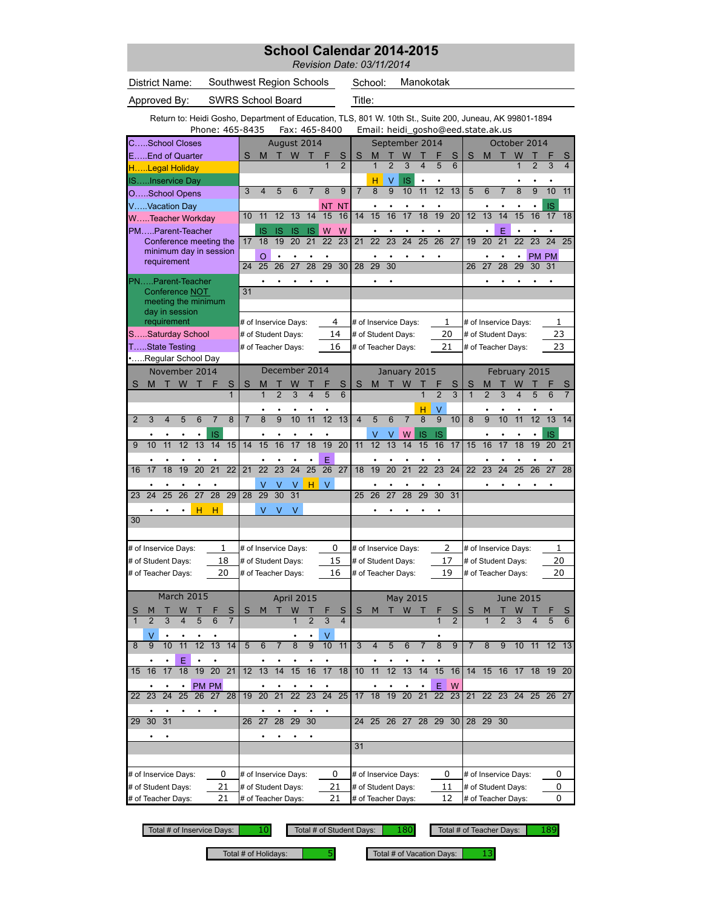|                |                                                                  |                 |    |                                                  |                |                   |                                                                                                                            |                         |                 |                      |                 |                      |                 | School Calendar 2014-2015<br>Revision Date: 03/11/2014 |                |                 |                                          |                         |                 |                                    |                |                     |                         |                                          |                 |                 |                |
|----------------|------------------------------------------------------------------|-----------------|----|--------------------------------------------------|----------------|-------------------|----------------------------------------------------------------------------------------------------------------------------|-------------------------|-----------------|----------------------|-----------------|----------------------|-----------------|--------------------------------------------------------|----------------|-----------------|------------------------------------------|-------------------------|-----------------|------------------------------------|----------------|---------------------|-------------------------|------------------------------------------|-----------------|-----------------|----------------|
|                | District Name:                                                   |                 |    |                                                  |                |                   | Southwest Region Schools                                                                                                   |                         |                 |                      |                 |                      |                 |                                                        | School:        |                 |                                          | Manokotak               |                 |                                    |                |                     |                         |                                          |                 |                 |                |
|                | Approved By:                                                     |                 |    |                                                  |                |                   | SWRS School Board                                                                                                          |                         |                 |                      |                 |                      |                 | Title:                                                 |                |                 |                                          |                         |                 |                                    |                |                     |                         |                                          |                 |                 |                |
|                |                                                                  |                 |    |                                                  |                |                   | Return to: Heidi Gosho, Department of Education, TLS, 801 W. 10th St., Suite 200, Juneau, AK 99801-1894<br>Phone: 465-8435 |                         |                 | Fax: 465-8400        |                 |                      |                 |                                                        |                |                 |                                          |                         |                 | Email: heidi_gosho@eed.state.ak.us |                |                     |                         |                                          |                 |                 |                |
|                |                                                                  |                 |    |                                                  |                |                   |                                                                                                                            |                         |                 |                      |                 |                      |                 |                                                        |                |                 | September 2014                           |                         |                 |                                    |                |                     |                         | October 2014                             |                 |                 |                |
|                | CSchool Closes<br>August 2014<br>W<br>S<br>M<br>т<br>F<br>т<br>1 |                 |    |                                                  |                |                   |                                                                                                                            |                         |                 |                      |                 |                      |                 |                                                        | М              | т               | W                                        |                         |                 | S                                  | S              | M                   | т                       | W                                        | т               |                 | S              |
|                | EEnd of Quarter<br>HLegal Holiday<br>ISInservice Day             |                 |    |                                                  |                |                   |                                                                                                                            |                         |                 |                      |                 |                      |                 |                                                        | $\mathbf{1}$   | $\overline{2}$  | 3                                        | $\overline{\mathbf{4}}$ | 5               | 6                                  |                |                     |                         | $\mathbf{1}$                             | $\overline{2}$  | 3               | $\overline{4}$ |
|                |                                                                  |                 |    |                                                  |                |                   |                                                                                                                            |                         |                 |                      |                 |                      |                 |                                                        | H              | $\vee$          | IS                                       | $\bullet$               | $\bullet$       |                                    |                |                     |                         |                                          |                 | $\bullet$       |                |
|                | OSchool Opens                                                    |                 |    |                                                  |                |                   | 3                                                                                                                          | $\overline{\mathbf{4}}$ | 5               | 6                    | $\overline{7}$  | $\overline{8}$       | $\overline{9}$  | $\overline{7}$                                         | 8              | 9               | 10                                       | 11                      | $\overline{12}$ | 13                                 | 5              | 6                   | $\overline{7}$          | $\overline{8}$                           | 9               | 10              | 11             |
|                | VVacation Day<br>WTeacher Workday                                |                 |    |                                                  |                |                   | 10                                                                                                                         | 11                      | 12              | 13                   | 14              | NT.<br>15            | <b>NT</b><br>16 | 14                                                     | 15             | 16              | 17                                       | $\overline{18}$         | $\bullet$<br>19 | $\overline{20}$                    | 12             | 13                  | 14                      | 15                                       | $\bullet$<br>16 | IS<br>17        | 18             |
|                | PMParent-Teacher                                                 |                 |    |                                                  |                |                   |                                                                                                                            | IS                      | IS              | 1S                   | <b>IS</b>       | W                    | W               |                                                        |                | ٠               |                                          |                         | $\bullet$       |                                    |                | $\bullet$           | E                       | $\bullet$                                | ٠               | $\bullet$       |                |
|                |                                                                  |                 |    | Conference meeting the<br>minimum day in session |                |                   | 17                                                                                                                         | 18                      | 19              | 20                   | 21              | 22                   | 23              | 21                                                     | 22             | 23              | 24                                       | 25                      | 26              | 27                                 | 19             | 20                  | 21                      | $\overline{22}$                          | $\overline{23}$ | $\overline{24}$ | 25             |
|                |                                                                  | requirement     |    |                                                  |                |                   | 24                                                                                                                         | $\overline{O}$<br>25    | $\bullet$<br>26 | 27                   | 28              | 29                   | 30              | 28                                                     | 29             | 30              |                                          |                         |                 |                                    | 26             | 27                  | $\bullet$<br>28         | 29                                       | 30              | PM PM<br>31     |                |
|                | PNParent-Teacher                                                 |                 |    |                                                  |                |                   |                                                                                                                            |                         |                 |                      |                 |                      |                 |                                                        |                |                 |                                          |                         |                 |                                    |                |                     |                         |                                          |                 |                 |                |
|                |                                                                  |                 |    | Conference NOT                                   |                |                   | 31                                                                                                                         |                         |                 |                      |                 |                      |                 |                                                        |                |                 |                                          |                         |                 |                                    |                |                     |                         |                                          |                 |                 |                |
|                |                                                                  | day in session  |    | meeting the minimum                              |                |                   |                                                                                                                            |                         |                 |                      |                 |                      |                 |                                                        |                |                 |                                          |                         |                 |                                    |                |                     |                         |                                          |                 |                 |                |
|                |                                                                  | requirement     |    |                                                  |                |                   |                                                                                                                            |                         |                 | # of Inservice Days: |                 |                      | 4               |                                                        |                |                 | # of Inservice Days:                     |                         |                 | 1                                  |                |                     |                         | # of Inservice Days:                     |                 | 1               |                |
|                | SSaturday School                                                 |                 |    |                                                  |                |                   | # of Student Days:                                                                                                         |                         |                 |                      |                 |                      | 14              |                                                        |                |                 | # of Student Days:                       |                         |                 | 20                                 |                |                     |                         | # of Student Days:                       |                 | 23              |                |
|                | TState Testing                                                   |                 |    |                                                  |                |                   |                                                                                                                            |                         |                 | # of Teacher Days:   |                 |                      | 16              |                                                        |                |                 | # of Teacher Days:                       |                         |                 | 21                                 |                |                     |                         | # of Teacher Days:                       |                 | 23              |                |
|                | Regular School Day                                               |                 |    |                                                  |                |                   |                                                                                                                            |                         |                 |                      |                 |                      |                 |                                                        |                |                 |                                          |                         |                 |                                    |                |                     |                         |                                          |                 |                 |                |
|                |                                                                  |                 |    |                                                  |                |                   |                                                                                                                            |                         |                 |                      |                 |                      |                 |                                                        |                |                 |                                          |                         |                 |                                    |                |                     |                         |                                          |                 |                 |                |
|                |                                                                  |                 |    | November 2014                                    | F              |                   |                                                                                                                            |                         |                 | December 2014        |                 |                      |                 |                                                        |                |                 | January 2015                             |                         |                 |                                    |                |                     |                         | February 2015                            |                 |                 |                |
| S              | M                                                                |                 | W  |                                                  |                | S<br>$\mathbf{1}$ | S                                                                                                                          | M                       | $\overline{2}$  | $\overline{3}$       | 4               |                      | S<br>6          | S                                                      | М              |                 | W                                        | $\mathbf{1}$            | $\overline{2}$  | S<br>$\overline{\mathbf{3}}$       | S              | M<br>$\overline{2}$ | $\overline{\mathbf{3}}$ | W<br>4                                   | 5               |                 | S              |
|                |                                                                  |                 |    |                                                  |                |                   |                                                                                                                            |                         |                 |                      |                 |                      |                 |                                                        |                |                 |                                          | н                       | V               |                                    |                |                     |                         |                                          |                 |                 |                |
| $\overline{2}$ | 3                                                                | $\overline{4}$  | 5  | 6                                                | $\overline{7}$ | $\overline{8}$    | $\overline{7}$                                                                                                             | $\overline{8}$          | $\overline{9}$  | 10                   | 11              | $\overline{12}$      | 13              | $\overline{4}$                                         | 5              | $\overline{6}$  | $\overline{7}$                           | $\overline{8}$          | $\overline{9}$  | 10                                 | $\overline{8}$ | $\overline{9}$      | 10                      | 11                                       | 12              | 13              | 14             |
|                |                                                                  |                 |    |                                                  | IS             |                   |                                                                                                                            |                         |                 |                      |                 |                      |                 |                                                        | ٧              | V               | W                                        | <b>IS</b>               | IS              |                                    |                |                     |                         |                                          |                 | IS              |                |
| 9              | 10                                                               | 11              | 12 | 13                                               | 14             | 15                | 14                                                                                                                         | 15                      | 16              | 17                   | 18              | 19                   | 20              | 11                                                     | 12             | 13              | 14                                       | 15                      | 16              | 17                                 | 15             | 16                  | 17                      | 18                                       | 19              | 20              | 21             |
| 16             | 17                                                               | 18              | 19 | 20                                               | 21             | $\overline{22}$   | 21                                                                                                                         | $\overline{22}$         | $\overline{23}$ | $\overline{24}$      | $\overline{25}$ | E<br>$\overline{26}$ | 27              | 18                                                     | 19             | 20              | 21                                       | 22                      | 23              | $\overline{24}$                    | 22             | 23                  | 24                      | 25                                       | 26              | 27              | 28             |
|                |                                                                  |                 |    |                                                  |                |                   |                                                                                                                            | v                       | ٧               | v                    | H.              | $\vee$               |                 |                                                        |                |                 |                                          |                         |                 |                                    |                |                     |                         |                                          |                 |                 |                |
| 23             | 24                                                               | 25              | 26 | 27                                               | 28             | 29                | 28                                                                                                                         | 29                      | 30              | 31                   |                 |                      |                 | 25                                                     | 26             | $\overline{27}$ | 28                                       | 29                      | 30              | 31                                 |                |                     |                         |                                          |                 |                 |                |
|                |                                                                  |                 |    | H                                                | - H            |                   |                                                                                                                            |                         | $V - V - V$     |                      |                 |                      |                 |                                                        |                |                 |                                          |                         |                 |                                    |                |                     |                         |                                          |                 |                 |                |
| 30             |                                                                  |                 |    |                                                  |                |                   |                                                                                                                            |                         |                 |                      |                 |                      |                 |                                                        |                |                 |                                          |                         |                 |                                    |                |                     |                         |                                          |                 |                 |                |
|                |                                                                  |                 |    |                                                  |                |                   |                                                                                                                            |                         |                 |                      |                 |                      |                 |                                                        |                |                 |                                          |                         |                 |                                    |                |                     |                         |                                          |                 |                 |                |
|                | # of Inservice Days:                                             |                 |    |                                                  |                | 1<br>18           | # of Student Days:                                                                                                         |                         |                 | # of Inservice Days: |                 |                      | 0<br>15         |                                                        |                |                 | # of Inservice Days:                     |                         |                 | 2<br>17                            |                |                     |                         | # of Inservice Days:                     |                 | 1<br>20         |                |
|                | # of Student Days:<br># of Teacher Days:                         |                 |    |                                                  |                | 20                |                                                                                                                            |                         |                 | # of Teacher Days:   |                 |                      | 16              |                                                        |                |                 | # of Student Days:<br># of Teacher Days: |                         |                 | 19                                 |                |                     |                         | # of Student Days:<br># of Teacher Days: |                 | 20              |                |
|                |                                                                  |                 |    |                                                  |                |                   |                                                                                                                            |                         |                 |                      |                 |                      |                 |                                                        |                |                 |                                          |                         |                 |                                    |                |                     |                         |                                          |                 |                 |                |
|                |                                                                  |                 |    | March 2015                                       |                |                   |                                                                                                                            |                         |                 | April 2015           |                 |                      |                 |                                                        |                |                 | May 2015                                 |                         |                 |                                    |                |                     |                         | <b>June 2015</b>                         |                 |                 |                |
| S              |                                                                  |                 | W  |                                                  |                | S                 | S                                                                                                                          | M                       | т               | W                    |                 |                      | S               | S                                                      | M              | т               | W                                        |                         | $\mathbf{1}$    | S                                  | S              |                     |                         | W                                        |                 |                 | S              |
| $\mathbf{1}$   | $\overline{2}$                                                   | 3               |    | 5                                                | 6              | $\overline{7}$    |                                                                                                                            |                         |                 | $\mathbf{1}$         | $\overline{2}$  | 3                    | $\overline{4}$  |                                                        |                |                 |                                          |                         |                 | $\overline{2}$                     |                |                     | $\overline{2}$          | 3                                        |                 |                 | 6              |
| 8              | V<br>9                                                           | 10              | 11 | 12                                               | 13             | 14                | 5                                                                                                                          | 6                       | $\overline{7}$  | 8                    | 9               | V<br>10              | 11              | 3                                                      | $\overline{4}$ | 5               | 6                                        | 7                       | 8               | 9                                  | $\overline{7}$ | 8                   | 9                       | 10                                       | 11              |                 |                |
|                |                                                                  |                 | Ε  |                                                  |                |                   |                                                                                                                            |                         |                 |                      |                 |                      |                 |                                                        |                |                 |                                          |                         |                 |                                    |                |                     |                         |                                          |                 |                 |                |
| 15             | 16                                                               | 17              | 18 | 19                                               | 20             | $\overline{21}$   | 12                                                                                                                         | 13                      | 14              | 15                   | 16              | 17                   | 18              | 10                                                     | 11             | 12              | 13                                       | 14                      | 15              | 16                                 | 14             | 15                  | 16                      | 17                                       | 18              | 19 20           |                |
|                |                                                                  |                 |    |                                                  | PM PM          |                   |                                                                                                                            |                         |                 |                      |                 |                      |                 |                                                        |                |                 |                                          |                         | Е               | W                                  |                |                     |                         |                                          |                 |                 |                |
| 22             | 23                                                               | $\overline{24}$ | 25 | $\overline{26}$                                  | 27             | 28                | 19                                                                                                                         | 20                      | $\overline{21}$ | $\overline{22}$      | $\overline{23}$ | $\overline{24}$      | 25              | 17                                                     | 18             | 19              | $\overline{20}$                          | 21                      | 22              | 23                                 | 21             | 22                  | 23                      | 24                                       | 25              | 26 27           |                |
| 29             | 30 <sup>°</sup>                                                  | 31              |    |                                                  |                |                   | 26                                                                                                                         | 27                      | 28              | $\overline{29}$      | 30              |                      |                 | 24                                                     | 25             | 26              | 27                                       | 28                      | 29              | 30                                 | 28             | 29                  | 30                      |                                          |                 |                 | 12 13          |

• • • • • • 36 37 38 39 40 41 42 33 34 35 36 37 38 39 31 32 33 34 35 36 37 35 36 37 38 39 40 41 # of Inservice Days:  $\begin{array}{c|c} 0 & \text{# of Inservice Days:} \end{array}$   $\begin{array}{c|c} 0 & \text{# of Inservice Days:} \end{array}$   $\begin{array}{c|c} 0 & \text{# of Inservice Days:} \end{array}$ # of Student Days:  $\begin{array}{r|l}\n 21 & \text{# of Student Days:} \\
-21 & \text{# of Student Days:} \\
\end{array}$  + of Student Days: # of Teacher Days:  $21$  # of Teacher Days:  $21$  # of Teacher Days:  $12$  # of Teacher Days: # of Inservice Days: 21  $\overline{0}$ 0  $\overline{0}$  $\overline{0}$ 21 # of Student Days:

Total # of Inservice Days: 10 10 Total # of Student Days: 180 Total # of Teacher Days: 189

Total # of Holidays:  $\begin{array}{|c|c|} \hline \text{5} & \text{Total # of vacation Days:} \hline \end{array}$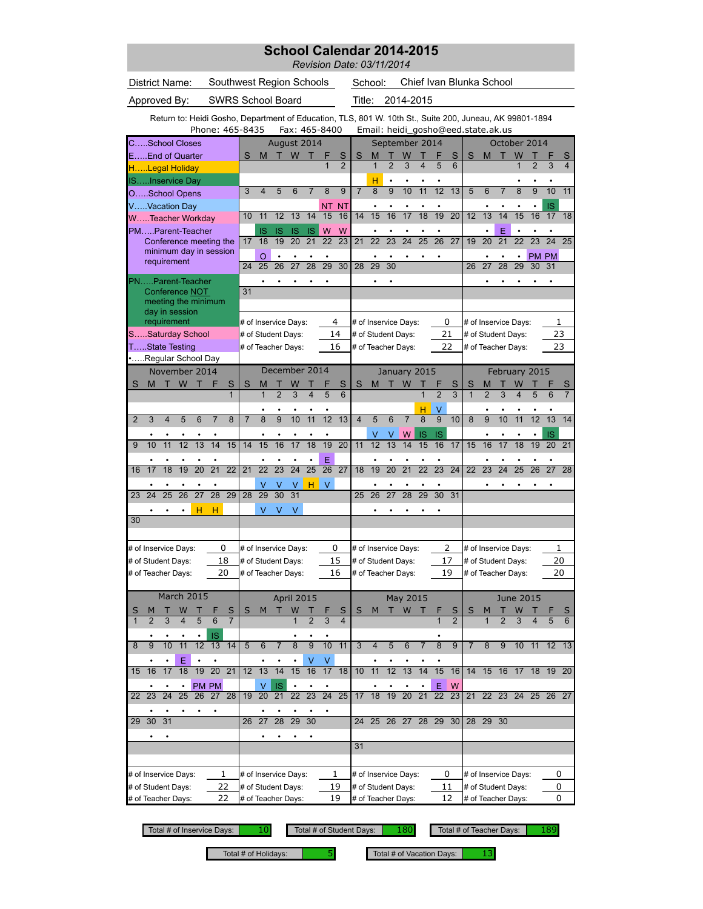## **School Calendar 2014-2015**

*Revision Date: 03/11/2014*

| District Name:                                                                                                              |                |                         |                 |                                                  |                 | Southwest Region Schools |                      |                            |                      |                 |                         |                 |                         |                         | School:            |                 |                      |                         |                 |                     | Chief Ivan Blunka School                                                                                                                      |                     |                 |                      |                 |                 |                     |
|-----------------------------------------------------------------------------------------------------------------------------|----------------|-------------------------|-----------------|--------------------------------------------------|-----------------|--------------------------|----------------------|----------------------------|----------------------|-----------------|-------------------------|-----------------|-------------------------|-------------------------|--------------------|-----------------|----------------------|-------------------------|-----------------|---------------------|-----------------------------------------------------------------------------------------------------------------------------------------------|---------------------|-----------------|----------------------|-----------------|-----------------|---------------------|
| Approved By:                                                                                                                |                |                         |                 |                                                  |                 | <b>SWRS School Board</b> |                      |                            |                      |                 |                         |                 |                         | Title:                  |                    |                 | 2014-2015            |                         |                 |                     |                                                                                                                                               |                     |                 |                      |                 |                 |                     |
|                                                                                                                             |                |                         |                 |                                                  |                 | Phone: 465-8435          |                      |                            |                      |                 |                         | Fax: 465-8400   |                         |                         |                    |                 |                      |                         |                 |                     | Return to: Heidi Gosho, Department of Education, TLS, 801 W. 10th St., Suite 200, Juneau, AK 99801-1894<br>Email: heidi_gosho@eed.state.ak.us |                     |                 |                      |                 |                 |                     |
| CSchool Closes                                                                                                              |                |                         |                 |                                                  |                 |                          |                      |                            | August 2014          |                 |                         |                 |                         |                         |                    |                 | September 2014       |                         |                 |                     |                                                                                                                                               |                     |                 | October 2014         |                 |                 |                     |
| EEnd of Quarter                                                                                                             |                |                         |                 |                                                  |                 |                          | S                    | M                          | т                    | W               | т                       | F               | S                       | S                       | M                  |                 | W                    |                         | F               | S                   | S                                                                                                                                             | М                   | т               | W                    | Т               | F               | S                   |
| HLegal Holiday                                                                                                              |                |                         |                 |                                                  |                 |                          |                      |                            |                      |                 |                         | 1               | $\overline{2}$          |                         | $\mathbf{1}$       | $\overline{2}$  | 3                    | $\overline{\mathbf{4}}$ | 5               | 6                   |                                                                                                                                               |                     |                 | $\overline{1}$       | $\overline{2}$  | 3               | 4                   |
| <b>ISInservice Day</b>                                                                                                      |                |                         |                 |                                                  |                 |                          |                      |                            |                      |                 |                         |                 |                         |                         | н                  |                 |                      |                         |                 |                     |                                                                                                                                               |                     |                 |                      |                 |                 |                     |
| OSchool Opens                                                                                                               |                |                         |                 |                                                  |                 |                          | 3                    | $\overline{\mathbf{4}}$    | 5                    | 6               | $\overline{7}$          | 8               | 9                       | $\overline{7}$          | 8                  | $\overline{9}$  | 10                   | 11                      | 12              | 13                  | 5                                                                                                                                             | 6                   | $\overline{7}$  | $\overline{8}$       | $\overline{9}$  | 10              | 11                  |
| VVacation Day                                                                                                               |                |                         |                 |                                                  |                 |                          |                      |                            |                      |                 |                         | NT              | <b>NT</b>               |                         |                    |                 |                      |                         |                 |                     |                                                                                                                                               |                     |                 |                      |                 | IS              |                     |
| WTeacher Workday                                                                                                            |                |                         |                 |                                                  |                 |                          | 10                   | 11                         | 12                   | 13              | 14                      | 15              | 16                      | 14                      | 15                 | 16              | 17                   | 18                      | 19              | $\overline{20}$     | 12                                                                                                                                            | 13                  | 14              | 15                   | 16              | 17              | 18                  |
| PMParent-Teacher                                                                                                            |                |                         |                 |                                                  |                 |                          |                      | IS                         | IS                   | IS              | IS                      | W               | W                       |                         |                    |                 |                      |                         |                 |                     |                                                                                                                                               |                     | E               |                      |                 |                 |                     |
|                                                                                                                             |                |                         |                 | Conference meeting the<br>minimum day in session |                 |                          | 17                   | 18                         | 19                   | 20              | 21                      | 22              | 23                      | 21                      | 22                 | 23              | 24                   | 25                      | 26              | 27                  | 19                                                                                                                                            | 20                  | 21              | 22                   | 23              | 24              | 25                  |
|                                                                                                                             | requirement    |                         |                 |                                                  |                 |                          | 24                   | $\circ$<br>$\overline{25}$ | 26                   | 27              | 28                      | 29              | 30                      | 28                      | 29                 | $\overline{30}$ |                      |                         |                 |                     | 26                                                                                                                                            | 27                  | 28              | ٠<br>29              | 30              | PM PM<br>31     |                     |
|                                                                                                                             |                |                         |                 |                                                  |                 |                          |                      |                            |                      |                 |                         |                 |                         |                         |                    |                 |                      |                         |                 |                     |                                                                                                                                               |                     |                 |                      |                 |                 |                     |
| PNParent-Teacher                                                                                                            |                |                         |                 |                                                  |                 |                          | 31                   |                            |                      |                 |                         |                 |                         |                         |                    |                 |                      |                         |                 |                     |                                                                                                                                               |                     |                 |                      |                 |                 |                     |
|                                                                                                                             |                |                         |                 |                                                  |                 |                          |                      |                            |                      |                 |                         |                 |                         |                         |                    |                 |                      |                         |                 |                     |                                                                                                                                               |                     |                 |                      |                 |                 |                     |
| Conference NOT<br>meeting the minimum<br>day in session<br>requirement<br>4<br># of Inservice Days:<br># of Inservice Days: |                |                         |                 |                                                  |                 |                          |                      |                            |                      |                 |                         |                 |                         |                         |                    |                 |                      |                         |                 |                     |                                                                                                                                               |                     |                 |                      |                 |                 |                     |
|                                                                                                                             |                |                         |                 |                                                  |                 |                          |                      |                            |                      |                 |                         |                 |                         |                         |                    |                 |                      |                         | 0               |                     |                                                                                                                                               |                     |                 | # of Inservice Days: |                 | 1               |                     |
| SSaturday School                                                                                                            |                |                         |                 |                                                  |                 |                          | # of Student Days:   |                            |                      |                 |                         |                 | 14                      |                         | # of Student Days: |                 |                      |                         | 21              |                     |                                                                                                                                               |                     |                 | # of Student Days:   |                 | 23              |                     |
| TState Testing                                                                                                              |                |                         |                 |                                                  |                 |                          |                      |                            | # of Teacher Days:   |                 |                         |                 | 16                      |                         |                    |                 | # of Teacher Days:   |                         | 22              |                     |                                                                                                                                               |                     |                 | # of Teacher Days:   |                 |                 | 23                  |
| Regular School Day                                                                                                          |                |                         |                 |                                                  |                 |                          |                      |                            | December 2014        |                 |                         |                 |                         |                         |                    |                 |                      |                         |                 |                     |                                                                                                                                               |                     |                 |                      |                 |                 |                     |
|                                                                                                                             |                |                         |                 | November 2014                                    |                 |                          |                      |                            |                      |                 |                         |                 |                         |                         |                    |                 | January 2015         |                         |                 |                     |                                                                                                                                               |                     |                 | February 2015        |                 |                 |                     |
| S                                                                                                                           | M              |                         | W               |                                                  |                 | S<br>$\mathbf{1}$        | S                    | M<br>1                     | $\overline{2}$       | $\overline{3}$  | $\overline{\mathbf{4}}$ | 5               | S<br>6                  | S                       | M                  |                 | W                    | $\overline{1}$          | $\overline{2}$  | S<br>$\overline{3}$ | S<br>1                                                                                                                                        | M<br>$\overline{2}$ | 3               | 4                    | 5               | 6               | S<br>$\overline{7}$ |
|                                                                                                                             |                |                         |                 |                                                  |                 |                          |                      |                            |                      |                 |                         |                 |                         |                         |                    |                 |                      |                         |                 |                     |                                                                                                                                               |                     |                 |                      |                 |                 |                     |
| $\overline{2}$                                                                                                              | 3              | $\overline{\mathbf{4}}$ | 5               | 6                                                | 7               | 8                        | $\overline{7}$       | 8                          | $\overline{9}$       | 10              | 11                      | 12              | 13                      | $\overline{\mathbf{4}}$ | 5                  | 6               | 7                    | Н<br>$\overline{8}$     | $\overline{9}$  | 10                  | 8                                                                                                                                             | $\overline{9}$      | 10              | 11                   | 12              | 13              | 14                  |
|                                                                                                                             |                |                         |                 |                                                  |                 |                          |                      |                            |                      |                 |                         |                 |                         |                         |                    |                 | W                    |                         |                 |                     |                                                                                                                                               |                     |                 |                      |                 |                 |                     |
| 9                                                                                                                           | 10             | 11                      | 12              | 13                                               | 14              | 15                       | 14                   | 15                         | 16                   | 17              | $\overline{18}$         | $\overline{19}$ | 20                      | 11                      | ٧<br>12            | ٧<br>13         | 14                   | IS<br>15                | IS<br>16        | 17                  | 15                                                                                                                                            | 16                  | 17              | 18                   | $\overline{19}$ | IS<br>20        | 21                  |
|                                                                                                                             |                |                         |                 |                                                  |                 |                          |                      |                            |                      |                 |                         | E               |                         |                         |                    |                 |                      |                         |                 |                     |                                                                                                                                               |                     |                 |                      |                 |                 |                     |
| 16                                                                                                                          | 17             | $\overline{18}$         | 19              | $\overline{20}$                                  | $\overline{21}$ | $\overline{22}$          | 21                   | $\overline{22}$            | $\overline{23}$      | $\overline{24}$ | $\overline{25}$         | $\overline{26}$ | $\overline{27}$         | 18                      | 19                 | $\overline{20}$ | $\overline{21}$      | $\overline{22}$         | $\overline{23}$ | $\overline{24}$     | 22                                                                                                                                            | $\overline{23}$     | $\overline{24}$ | $\overline{25}$      | $\overline{26}$ | $\overline{27}$ | 28                  |
|                                                                                                                             |                |                         |                 |                                                  | ٠               |                          |                      |                            | ٧                    | ٧               | н                       | V               |                         |                         |                    |                 |                      |                         | ٠               |                     |                                                                                                                                               |                     |                 |                      |                 |                 |                     |
| 23                                                                                                                          | 24             | 25                      | $\overline{26}$ | $\overline{27}$                                  | $\overline{28}$ | 29                       | 28                   | 29                         | $\overline{30}$      | 31              |                         |                 |                         | 25                      | 26                 | 27              | 28                   | 29                      | 30              | 31                  |                                                                                                                                               |                     |                 |                      |                 |                 |                     |
|                                                                                                                             |                |                         |                 | н                                                | н               |                          |                      | V                          | ٧                    | V               |                         |                 |                         |                         |                    |                 |                      |                         |                 |                     |                                                                                                                                               |                     |                 |                      |                 |                 |                     |
| 30                                                                                                                          |                |                         |                 |                                                  |                 |                          |                      |                            |                      |                 |                         |                 |                         |                         |                    |                 |                      |                         |                 |                     |                                                                                                                                               |                     |                 |                      |                 |                 |                     |
|                                                                                                                             |                |                         |                 |                                                  |                 |                          |                      |                            |                      |                 |                         |                 |                         |                         |                    |                 |                      |                         |                 |                     |                                                                                                                                               |                     |                 |                      |                 |                 |                     |
| # of Inservice Days:                                                                                                        |                |                         |                 |                                                  |                 | 0                        |                      |                            | # of Inservice Days: |                 |                         |                 | 0                       |                         |                    |                 | # of Inservice Days: |                         | 2               |                     |                                                                                                                                               |                     |                 | # of Inservice Days: |                 | 1               |                     |
| # of Student Days:                                                                                                          |                |                         |                 |                                                  |                 | 18                       |                      |                            | # of Student Days:   |                 |                         |                 | 15                      |                         | # of Student Days: |                 |                      |                         | 17              |                     |                                                                                                                                               |                     |                 | # of Student Days:   |                 |                 | 20                  |
| # of Teacher Days:                                                                                                          |                |                         |                 |                                                  |                 | 20                       |                      |                            | # of Teacher Days:   |                 |                         |                 | 16                      |                         |                    |                 | # of Teacher Days:   |                         | 19              |                     |                                                                                                                                               |                     |                 | # of Teacher Days:   |                 | 20              |                     |
|                                                                                                                             |                |                         |                 |                                                  |                 |                          |                      |                            |                      |                 |                         |                 |                         |                         |                    |                 |                      |                         |                 |                     |                                                                                                                                               |                     |                 |                      |                 |                 |                     |
|                                                                                                                             |                |                         |                 | March 2015                                       |                 |                          |                      |                            |                      | April 2015      |                         |                 |                         |                         |                    |                 | May 2015             |                         |                 |                     |                                                                                                                                               |                     |                 | <b>June 2015</b>     |                 |                 |                     |
| $\overline{\mathsf{S}}$                                                                                                     | M              | т                       | W               | Т                                                | F               | S                        | S                    | M                          | Т                    | W               | т                       | F               | S                       | S                       | M                  | т               | W                    | т                       | F               | $\mathsf{S}% _{T}$  | S                                                                                                                                             | M                   | т               | W                    |                 |                 | S                   |
| $\mathbf{1}$                                                                                                                | $\overline{2}$ | 3                       | 4               | 5                                                | 6               | $\overline{7}$           |                      |                            |                      | 1               | $\overline{2}$          | 3               | $\overline{\mathbf{4}}$ |                         |                    |                 |                      |                         | 1               | $\overline{2}$      |                                                                                                                                               |                     | $\overline{2}$  | 3                    | 4               | 5               | 6                   |
|                                                                                                                             |                |                         |                 | $\bullet$                                        | IS              |                          |                      |                            |                      |                 |                         |                 |                         |                         |                    |                 |                      |                         |                 |                     |                                                                                                                                               |                     |                 |                      |                 |                 |                     |
| 8                                                                                                                           | 9              | $\overline{10}$         | 11              | 12                                               |                 | 13 14                    | 5                    | 6                          | $\overline{7}$       | $\overline{8}$  | $\overline{9}$          | $\overline{10}$ | 11                      | 3                       | 4                  | 5               | 6                    | $\overline{7}$          | 8               | $\overline{9}$      | $\overline{7}$                                                                                                                                | 8                   | 9               | $10$ 11              |                 | $12 \quad 13$   |                     |
|                                                                                                                             |                |                         | Ε               |                                                  |                 |                          |                      |                            |                      |                 | ٧                       | V               |                         |                         |                    |                 |                      |                         |                 |                     |                                                                                                                                               |                     |                 |                      |                 |                 |                     |
| 15                                                                                                                          | 16             | 17                      | $\overline{18}$ | 19                                               | 20              | 21                       | 12                   | 13                         | 14                   | 15              | 16                      | 17              | 18                      | 10                      | 11                 | 12              | 13                   | 14                      | 15              | 16                  | 14                                                                                                                                            | 15 16               |                 | 17                   |                 | 18 19 20        |                     |
|                                                                                                                             |                | $\bullet$               | ٠               |                                                  | PM PM           |                          |                      | $\vee$                     | <b>IS</b>            |                 |                         | $\bullet$       |                         |                         |                    |                 |                      |                         | E               | W                   |                                                                                                                                               |                     |                 |                      |                 |                 |                     |
| 22                                                                                                                          | 23             | 24                      | 25              | 26                                               | 27              | 28                       | 19                   | 20                         | 21                   | 22              | 23                      | $\overline{24}$ | 25                      | 17                      | 18                 | 19              | 20                   | 21                      | 22              | 23                  | 21                                                                                                                                            | 22                  | 23              | 24                   | 25              | 26 27           |                     |
|                                                                                                                             |                |                         |                 |                                                  | $\bullet$       |                          |                      |                            |                      |                 |                         |                 |                         |                         |                    |                 |                      |                         |                 |                     |                                                                                                                                               |                     |                 |                      |                 |                 |                     |
| 29                                                                                                                          | 30             | 31                      |                 |                                                  |                 |                          | 26                   | 27                         | $\overline{28}$      | $\overline{29}$ | 30                      |                 |                         | 24                      | 25                 | 26              | 27                   | 28                      | 29 30           |                     | 28                                                                                                                                            | 29 30               |                 |                      |                 |                 |                     |
|                                                                                                                             |                | ٠                       |                 |                                                  |                 |                          |                      |                            |                      |                 |                         |                 |                         |                         |                    |                 |                      |                         |                 |                     |                                                                                                                                               |                     |                 |                      |                 |                 |                     |
|                                                                                                                             |                |                         |                 |                                                  |                 |                          |                      |                            |                      |                 |                         |                 |                         | 31                      |                    |                 |                      |                         |                 |                     |                                                                                                                                               |                     |                 |                      |                 |                 |                     |
|                                                                                                                             |                |                         |                 |                                                  |                 |                          |                      |                            |                      |                 |                         |                 |                         |                         |                    |                 |                      |                         |                 |                     |                                                                                                                                               |                     |                 |                      |                 |                 |                     |
| # of Inservice Days:                                                                                                        |                |                         |                 |                                                  |                 | 1                        | # of Inservice Days: |                            |                      |                 |                         |                 | 1                       |                         |                    |                 | # of Inservice Days: |                         | 0               |                     |                                                                                                                                               |                     |                 | # of Inservice Days: |                 |                 | 0                   |
| # of Student Days:                                                                                                          |                |                         |                 |                                                  |                 | 22                       |                      |                            | # of Student Days:   |                 |                         | 19              |                         |                         |                    |                 | # of Student Days:   |                         | 11              |                     |                                                                                                                                               |                     |                 | # of Student Days:   |                 |                 | 0                   |
| # of Teacher Days:                                                                                                          |                |                         |                 |                                                  |                 | 22                       |                      |                            | # of Teacher Days:   |                 |                         |                 | 19                      |                         |                    |                 | # of Teacher Days:   |                         | 12              |                     |                                                                                                                                               |                     |                 | # of Teacher Days:   |                 |                 | 0                   |

Total # of Inservice Days: 10 Total # of Student Days: 180 Total # of Teacher Days: 189

Total # of Holidays: **5** Total # of Vacation Days: **13**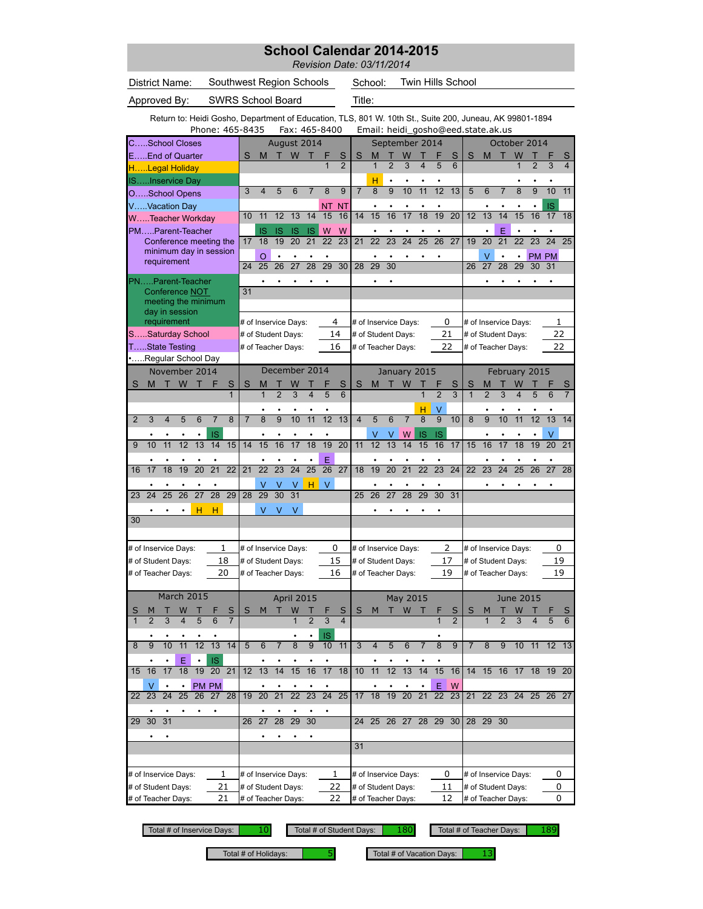## **School Calendar 2014-2015**

*Revision Date: 03/11/2014*

| District Name: | Southwest Region Schools         | School: | Twin Hills School                                                                      |
|----------------|----------------------------------|---------|----------------------------------------------------------------------------------------|
| Approved By:   | <b>SWRS School Board</b>         | Title:  |                                                                                        |
|                |                                  |         | Return to: Heidi Gosho, Department of Education, TLS, 801 W. 10th St., Suite 200, June |
|                | Phone: 465-8435    Fax: 465-8400 |         | Email: heidi gosho@eed.sta                                                             |

ail: heidi\_gosho@eed.state.ak.us W. 10th St., Suite 200, Juneau, AK 99801-1894

|                | CSchool Closes       |                 |           |                 |                        |                 |                |                         | August 2014          |                   |                 |                 |                 |                         |                 | September 2014       |                 |                 |                      |                     |                |                 |                 | October 2014         |                 |                 |                 |
|----------------|----------------------|-----------------|-----------|-----------------|------------------------|-----------------|----------------|-------------------------|----------------------|-------------------|-----------------|-----------------|-----------------|-------------------------|-----------------|----------------------|-----------------|-----------------|----------------------|---------------------|----------------|-----------------|-----------------|----------------------|-----------------|-----------------|-----------------|
|                | EEnd of Quarter      |                 |           |                 |                        |                 | S              | M                       |                      | W                 |                 |                 | S               | S                       | M               |                      | W               |                 |                      | S                   | S              | M               | т               | W                    |                 |                 | S               |
|                | HLegal Holiday       |                 |           |                 |                        |                 |                |                         |                      |                   |                 |                 | $\overline{2}$  |                         |                 | $\overline{2}$       | 3               |                 |                      | 6                   |                |                 |                 |                      |                 | 3               | 4               |
|                | ISInservice Day      |                 |           |                 |                        |                 |                |                         |                      |                   |                 |                 |                 |                         | н               | ٠                    |                 |                 |                      |                     |                |                 |                 |                      |                 |                 |                 |
|                | OSchool Opens        |                 |           |                 |                        |                 | 3              | $\overline{\mathbf{4}}$ | 5                    | 6                 | 7               | 8               | 9               | $\overline{7}$          | 8               | $\overline{9}$       | 10              | 11              | $\overline{12}$      | 13                  | 5              | 6               | 7               | 8                    | $\overline{9}$  | 10              | 11              |
|                | VVacation Day        |                 |           |                 |                        |                 |                |                         |                      |                   |                 | NΤ              | ΝT              |                         | ٠               |                      |                 |                 |                      |                     |                |                 |                 |                      |                 | IS              |                 |
|                | WTeacher Workday     |                 |           |                 |                        |                 | 10             | 11                      | 12                   | 13                | 14              | 15              | 16              | 14                      | 15              | 16                   | 17              | 18              | 19                   | $\overline{20}$     | 12             | 13              | 14              | 15                   | 16              | 17              | 18              |
|                | PMParent-Teacher     |                 |           |                 |                        |                 |                | <b>IS</b>               | IS                   | IS                | IS              | W               | W               |                         |                 |                      |                 |                 |                      |                     |                |                 | E               |                      |                 |                 |                 |
|                |                      |                 |           |                 | Conference meeting the |                 | 17             | 18                      | 19                   | 20                | 21              | 22              | $\overline{23}$ | 21                      | 22              | $\overline{23}$      | 24              | $\overline{25}$ | $\overline{26}$      | 27                  | 19             | 20              | $\overline{21}$ | 22                   | 23              | $\overline{24}$ | 25              |
|                |                      |                 |           |                 | minimum day in session |                 |                | O                       |                      |                   |                 |                 |                 |                         |                 |                      |                 |                 |                      |                     |                | V               |                 |                      |                 | PM PM           |                 |
|                |                      | requirement     |           |                 |                        |                 | 24             | $\overline{25}$         | $\overline{26}$      | $\overline{27}$   | $\overline{28}$ | $\overline{29}$ | 30              | $\overline{28}$         | 29              | $\overline{30}$      |                 |                 |                      |                     | 26             | $\overline{27}$ | $\overline{28}$ | $\overline{29}$      | 30              | 31              |                 |
|                | PNParent-Teacher     |                 |           |                 |                        |                 |                |                         |                      |                   |                 |                 |                 |                         |                 |                      |                 |                 |                      |                     |                |                 |                 |                      |                 |                 |                 |
|                |                      | Conference NOT  |           |                 |                        |                 | 31             |                         |                      |                   |                 |                 |                 |                         |                 |                      |                 |                 |                      |                     |                |                 |                 |                      |                 |                 |                 |
|                |                      |                 |           |                 | meeting the minimum    |                 |                |                         |                      |                   |                 |                 |                 |                         |                 |                      |                 |                 |                      |                     |                |                 |                 |                      |                 |                 |                 |
|                |                      | day in session  |           |                 |                        |                 |                |                         |                      |                   |                 |                 |                 |                         |                 |                      |                 |                 |                      |                     |                |                 |                 |                      |                 |                 |                 |
|                |                      | requirement     |           |                 |                        |                 |                |                         | # of Inservice Days: |                   |                 |                 | 4               |                         |                 | # of Inservice Days: |                 |                 | 0                    |                     |                |                 |                 | # of Inservice Days: |                 | 1               |                 |
|                | SSaturday School     |                 |           |                 |                        |                 |                |                         | # of Student Days:   |                   |                 |                 | 14              |                         |                 | # of Student Days:   |                 |                 | 21                   |                     |                |                 |                 | # of Student Days:   |                 | 22              |                 |
|                | TState Testing       |                 |           |                 |                        |                 |                |                         | # of Teacher Days:   |                   |                 |                 | 16              |                         |                 | # of Teacher Days:   |                 |                 | 22                   |                     |                |                 |                 | # of Teacher Days:   |                 | 22              |                 |
|                | Regular School Day   |                 |           |                 |                        |                 |                |                         |                      |                   |                 |                 |                 |                         |                 |                      |                 |                 |                      |                     |                |                 |                 |                      |                 |                 |                 |
|                |                      | November 2014   |           |                 |                        |                 |                |                         | December 2014        |                   |                 |                 |                 |                         |                 | January 2015         |                 |                 |                      |                     |                |                 |                 | February 2015        |                 |                 |                 |
| S              | M                    | $\top$          | W T       |                 | F                      | S               | S              | М                       |                      | W                 |                 |                 | S               | S                       | M               | Т                    | W               |                 |                      | S                   | S              |                 |                 | W                    |                 |                 |                 |
|                |                      |                 |           |                 |                        | $\mathbf{1}$    |                | 1                       | $\overline{2}$       | 3                 | 4               | 5               | 6               |                         |                 |                      |                 |                 | $\overline{2}$       | $\overline{3}$      | $\mathbf{1}$   | 2               | 3               | 4                    | 5               | 6               | $\overline{7}$  |
|                |                      |                 |           |                 |                        |                 |                |                         |                      |                   |                 |                 |                 |                         |                 |                      |                 | н               | V                    |                     |                |                 |                 |                      |                 |                 |                 |
| $\overline{2}$ | 3                    | 4               | 5         | 6               | 7                      | 8               | $\overline{7}$ | 8                       | $\overline{9}$       | 10                | 11              | 12              | 13              | $\overline{\mathbf{4}}$ | 5               | $\overline{6}$       | $\overline{7}$  | $\overline{8}$  | $\overline{9}$       | 10                  | 8              | $\overline{9}$  | 10              | 11                   | $\overline{12}$ | 13              | 14              |
|                |                      |                 |           |                 | IS                     |                 |                |                         |                      |                   |                 |                 |                 |                         | ٧               | ٧                    | W               | IS              | <b>IS</b>            |                     |                |                 |                 |                      |                 | V               |                 |
| 9              | 10                   | $\overline{11}$ | 12        | 13              | 14                     | 15              | 14             | 15                      | 16                   | $\overline{17}$   | $\overline{18}$ | 19              | $\overline{20}$ | 11                      | $\overline{12}$ | 13                   | 14              | 15              | 16                   | 17                  | 15             | 16              | 17              | 18                   | 19              | 20              | $\overline{21}$ |
|                |                      |                 |           | ٠               | ٠                      |                 |                | ٠                       |                      | ٠                 | ٠               | Ë               |                 |                         | ٠               | ٠                    |                 |                 | ٠                    |                     |                | ٠               |                 | ٠                    |                 | ٠               |                 |
| 16             | 17                   | $\overline{18}$ | 19        | $\overline{20}$ | $\overline{21}$        | $\overline{22}$ | 21             | $\overline{22}$         | $\overline{23}$      | $\overline{24}$   | $\overline{25}$ | $\overline{26}$ | $\overline{27}$ | 18                      | 19              | $\overline{20}$      | $\overline{21}$ | $\overline{22}$ | $\overline{23}$      | $\overline{24}$     | 22             | $\overline{23}$ | $\overline{24}$ | $\overline{25}$      | $\overline{26}$ | $\overline{27}$ | $\overline{28}$ |
|                |                      |                 |           |                 |                        |                 |                | V                       | V                    | ٧                 | н               | $\vee$          |                 |                         |                 |                      |                 |                 |                      |                     |                |                 |                 |                      |                 |                 |                 |
| 23             | 24                   | 25              | 26        | $\overline{27}$ | 28                     | 29              | 28             | 29                      | 30                   | 31                |                 |                 |                 | 25                      | 26              | 27                   | 28              | 29              | 30                   | 31                  |                |                 |                 |                      |                 |                 |                 |
|                |                      |                 |           | н               | н                      |                 |                | V                       | ٧                    | V                 |                 |                 |                 |                         |                 |                      |                 |                 |                      |                     |                |                 |                 |                      |                 |                 |                 |
| 30             |                      |                 |           |                 |                        |                 |                |                         |                      |                   |                 |                 |                 |                         |                 |                      |                 |                 |                      |                     |                |                 |                 |                      |                 |                 |                 |
|                |                      |                 |           |                 |                        |                 |                |                         |                      |                   |                 |                 |                 |                         |                 |                      |                 |                 |                      |                     |                |                 |                 |                      |                 |                 |                 |
|                | # of Inservice Days: |                 |           |                 |                        | 1               |                |                         | # of Inservice Days: |                   |                 | 0               |                 |                         |                 | # of Inservice Days: |                 |                 | 2                    |                     |                |                 |                 | # of Inservice Days: |                 | 0               |                 |
|                | # of Student Days:   |                 |           |                 |                        | 18              |                |                         | # of Student Days:   |                   |                 |                 | 15              |                         |                 | # of Student Days:   |                 |                 | 17                   |                     |                |                 |                 | # of Student Days:   |                 | 19              |                 |
|                | # of Teacher Days:   |                 |           |                 |                        | 20              |                |                         | # of Teacher Days:   |                   |                 |                 | 16              |                         |                 | # of Teacher Days:   |                 |                 | 19                   |                     |                |                 |                 | # of Teacher Days:   |                 | 19              |                 |
|                |                      |                 |           |                 |                        |                 |                |                         |                      |                   |                 |                 |                 |                         |                 |                      |                 |                 |                      |                     |                |                 |                 |                      |                 |                 |                 |
|                |                      | March 2015      |           |                 |                        |                 |                |                         |                      | <b>April 2015</b> |                 |                 |                 |                         |                 |                      | May 2015        |                 |                      |                     |                |                 |                 | <b>June 2015</b>     |                 |                 |                 |
|                |                      |                 |           |                 |                        | S               | S              | М                       | т                    | W                 |                 |                 | S               | S                       | M               |                      | W               |                 |                      |                     | S              | M               |                 |                      |                 |                 |                 |
|                | $\overline{2}$       | 3               | 4         | 5               | 6                      | $\overline{7}$  |                |                         |                      | $\overline{1}$    | $\overline{2}$  | 3               | $\overline{4}$  |                         |                 |                      |                 |                 | 1                    | S<br>$\overline{2}$ |                | 1               | $\overline{2}$  | 3                    | 4               | 5               | S<br>6          |
|                |                      |                 |           |                 |                        |                 |                |                         |                      |                   |                 |                 |                 |                         |                 |                      |                 |                 |                      |                     |                |                 |                 |                      |                 |                 |                 |
| 8              | 9                    | 10              | 11        | 12              | 13                     | 14              | 5              | 6                       | 7                    | 8                 | 9               | IS<br>10        | 11              | 3                       | 4               | 5                    | 6               | 7               | $\overline{8}$       | 9                   | $\overline{7}$ | 8               | 9               | 10                   | 11              | 12              | 13              |
|                |                      |                 |           |                 |                        |                 |                |                         |                      |                   |                 |                 |                 |                         |                 |                      |                 |                 |                      |                     |                |                 |                 |                      |                 |                 |                 |
| 15             | 16                   | 17              | Ε<br>18   | 19              | <b>IS</b><br>20        | 21              | 12             | 13                      |                      | 15                | 16              | 17              | 18              | 10                      | 11              | 12                   | 13              | 14              | 15                   | 16                  | 14             | 15              | 16              | 17                   | 18              | 19              | 20              |
|                |                      |                 |           |                 |                        |                 |                |                         |                      |                   |                 |                 |                 |                         |                 |                      |                 |                 |                      |                     |                |                 |                 |                      |                 |                 |                 |
|                | V                    |                 | $\bullet$ |                 | PM PM                  |                 |                |                         |                      | 22                | 23              | $24$ 25         |                 |                         |                 | 19                   |                 |                 | E<br>$\overline{22}$ | W                   |                |                 |                 | 22 23 24             |                 |                 |                 |
| 22             | 23                   | 24              | 25        | 26              |                        | 27 28           | 19             | 20                      | 21                   |                   |                 |                 |                 | 17                      | 18              |                      | 20              | 21              |                      | 23                  | 21             |                 |                 |                      |                 | 25 26 27        |                 |
|                |                      |                 |           |                 |                        |                 |                |                         |                      |                   |                 |                 |                 |                         |                 |                      |                 |                 |                      |                     |                |                 |                 |                      |                 |                 |                 |
| 29             | 30                   | 31              |           |                 |                        |                 | 26             | $\overline{27}$         | 28                   | 29                | 30              |                 |                 | 24                      |                 | 25 26 27 28 29       |                 |                 |                      | 30                  |                | 28 29           | 30              |                      |                 |                 |                 |
|                |                      |                 |           |                 |                        |                 |                |                         |                      | ٠                 |                 |                 |                 |                         |                 |                      |                 |                 |                      |                     |                |                 |                 |                      |                 |                 |                 |
|                |                      |                 |           |                 |                        |                 |                |                         |                      |                   |                 |                 |                 | 31                      |                 |                      |                 |                 |                      |                     |                |                 |                 |                      |                 |                 |                 |
|                |                      |                 |           |                 |                        |                 |                |                         |                      |                   |                 |                 |                 |                         |                 |                      |                 |                 |                      |                     |                |                 |                 |                      |                 |                 |                 |
|                | # of Inservice Days: |                 |           |                 |                        | 1               |                |                         | # of Inservice Days: |                   |                 |                 | 1               |                         |                 | # of Inservice Days: |                 |                 | 0                    |                     |                |                 |                 | # of Inservice Days: |                 | 0               |                 |
|                | # of Student Days:   |                 |           |                 |                        | 21              |                |                         | # of Student Days:   |                   |                 |                 | 22              |                         |                 | # of Student Days:   |                 |                 | 11                   |                     |                |                 |                 | # of Student Days:   |                 | 0               |                 |
|                | # of Teacher Days:   |                 |           |                 |                        | 21              |                |                         | # of Teacher Days:   |                   |                 | 22              |                 |                         |                 | # of Teacher Days:   |                 |                 | 12                   |                     |                |                 |                 | # of Teacher Days:   |                 | 0               |                 |

Total # of Inservice Days:  $\begin{array}{|l|l|} \hline \end{array}$  10 Total # of Student Days:

10 Total # of Student Days: 180 Total # of Teacher Days: 189

Total # of Holidays:  $\begin{array}{|c|c|c|c|c|} \hline \end{array}$  Total # of Vacation Days: 13